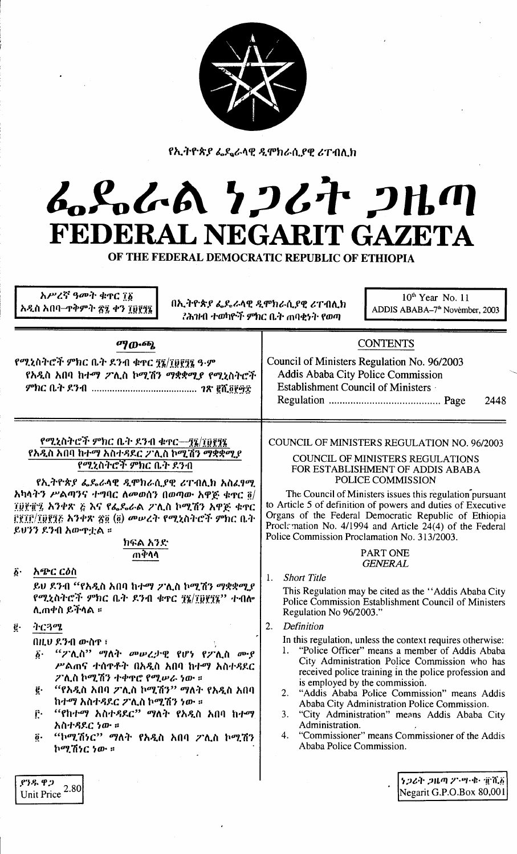

የኢትዮጵያ ፌዴሬላዊ ዲሞክራሲያዊ ሪፐብሊክ

# んらんめ クンムヤ クルク FEDERAL NEGARIT GAZETA

OF THE FEDERAL DEMOCRATIC REPUBLIC OF ETHIOPIA

| አሥረኛ ዓመት ቁጥር ፲፩<br>በኢትዮጵያ ፌዴራላዊ ዲሞክራሲያዊ ሪፐብሊክ<br>አዲስ አበባ–ጥቅምት ፳፯ ቀን ፲፱፻፺፯                                                                                                                                                                                                                                                                                                                                                                                                                        | $10th$ Year No. 11<br>ADDIS ABABA-7 <sup>th</sup> November, 2003<br>?ሕዝብ ተወካዮች ምክር ቤት ጠባቂነት የወጣ                                                                                                                                                                                                                                                                                                                                                                                                                                                                                                                                                                                                                                         |
|--------------------------------------------------------------------------------------------------------------------------------------------------------------------------------------------------------------------------------------------------------------------------------------------------------------------------------------------------------------------------------------------------------------------------------------------------------------------------------------------------|-----------------------------------------------------------------------------------------------------------------------------------------------------------------------------------------------------------------------------------------------------------------------------------------------------------------------------------------------------------------------------------------------------------------------------------------------------------------------------------------------------------------------------------------------------------------------------------------------------------------------------------------------------------------------------------------------------------------------------------------|
| ማውጫ<br>የሚኒስትሮች ምክር ቤት ደንብ ቁተር ፺፯/፲፱፻፺፯ ዓ·ም<br>የአዲስ አበባ ከተማ ፖሊስ ኮሚሽን ማቋቋሚያ የሚኒስትሮች                                                                                                                                                                                                                                                                                                                                                                                                                | <b>CONTENTS</b><br>Council of Ministers Regulation No. 96/2003<br>Addis Ababa City Police Commission<br>Establishment Council of Ministers<br>2448                                                                                                                                                                                                                                                                                                                                                                                                                                                                                                                                                                                      |
| የሚኒስትሮች ምክር ቤት ደንብ ቁተር—፺፯/፲፱፻፺፯<br>የአዲስ አበባ ከተማ አስተዳደር ፖሊስ ኮሚሽን ማቋቋሚያ<br>የሚኒስትሮች ምክር ቤት ደንብ<br>የኢትዮጵያ ፌዴራላዊ ዲሞክራሲያዊ ሪፐብሊክ አስፈፃሚ<br>አካላትን ሥልጣንና ተግባር ለመወሰን በወጣው አዋጅ ቁዋር $\bar{\mathfrak{g}}/$<br>፲፱፻፹፯ አንቀጽ ፭ እና የፌዴራል ፖሊስ ኮሚሽን አዋጅ ቁዋር<br>፫፻፲፫/፲፬፻፺፫ አንቀጽ ፳፬ (፬) መሠረት የሚኒስትሮች ምክር ቤት<br>ይሆንን ደንብ አውዋቷል ።<br>ክፍል አንድ<br>ጠቅሳሳ<br>አጭር ርዕስ<br>$\boldsymbol{\delta}$ .<br>ይሀ ደንብ "የአዲስ አበባ ከተማ ፖሊስ ኮሚሽን ማቋቋሚያ<br>የሚኒስትሮች ምክር ቤት ደንብ ቁዋር ፺፮/፲፬፻፺፮'' ተብሎ<br>ሊጠቀስ ይችላል ፡፡<br>ትርጓሜ<br>g.<br>በዚህ ደንብ ውስዋ ፣ | COUNCIL OF MINISTERS REGULATION NO. 96/2003<br>COUNCIL OF MINISTERS REGULATIONS<br>FOR ESTABLISHMENT OF ADDIS ABABA<br>POLICE COMMISSION<br>The Council of Ministers issues this regulation pursuant<br>to Article 5 of definition of powers and duties of Executive<br>Organs of the Federal Democratic Republic of Ethiopia<br>Prockmation No. 4/1994 and Article 24(4) of the Federal<br>Police Commission Proclamation No. 313/2003.<br><b>PART ONE</b><br><b>GENERAL</b><br><b>Short Title</b><br>1.<br>This Regulation may be cited as the "Addis Ababa City<br>Police Commission Establishment Council of Ministers<br>Regulation No 96/2003."<br>2.<br>Definition<br>In this regulation, unless the context requires otherwise: |
| <i>"ፖ</i> ሊስ" ማለት <i>መሠረታ</i> ዊ የሆነ የፖሊስ ሙያ<br>$\vec{b}$ .<br>ሥልጠና ተሰዋቶት በአዲስ አበባ ከተማ አስተዳደር<br>ፖሊስ ኮሚሽን ተቀዋሮ የሚሥራ ነው ።<br>"የአዲስ አበባ ፖሊስ ኮሚሽን" ማለት የአዲስ አበባ<br>ğ.<br>ከተማ አስተዳደር ፖሊስ ኮሚሽን ነው ።<br>''የከተማ አስተዳደር'' ማለት የአዲስ አበባ ከተማ<br>ŕ٠<br>አስተዳደር ነው ።<br>"ኮሚሽነር" ማለት የአዲስ አበባ ፖሊስ ኮሚሽን<br>$\ddot{\mathbf{0}}$ .<br>ኮሚሽነር ነው ።<br>ያንዱ ዋጋ<br>2.80<br><b>Unit Price</b>                                                                                                                            | 1. "Police Officer" means a member of Addis Ababa<br>City Administration Police Commission who has<br>received police training in the police profession and<br>is employed by the commission.<br>"Addis Ababa Police Commission" means Addis<br>2.<br>Ababa City Administration Police Commission.<br>"City Administration" means Addis Ababa City<br>3.<br>Administration.<br>4. "Commissioner" means Commissioner of the Addis<br>Ababa Police Commission.<br>$\left[ \frac{1}{2} 2 \mathcal{L} \hat{\mathcal{H}} \right]$ ጋዜጣ ፖነሣ፡ቁ፡ ፹ሺ $\delta$<br>Negarit G.P.O.Box 80,001                                                                                                                                                         |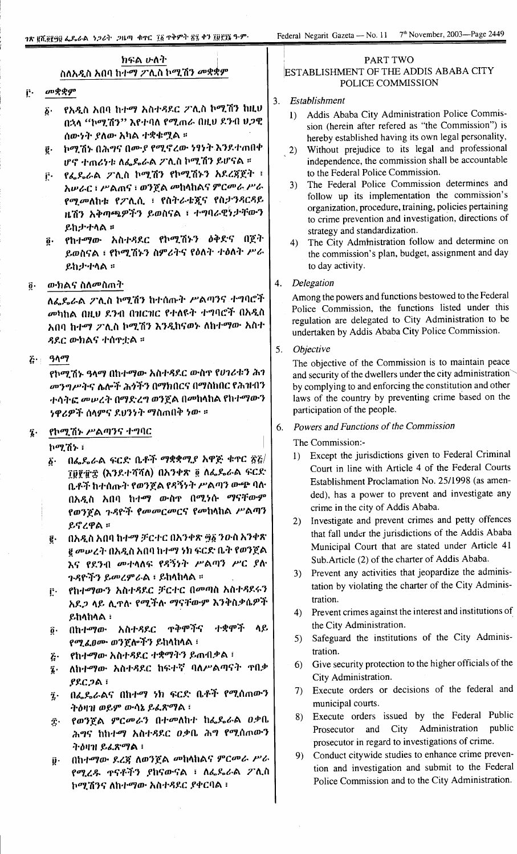# ክፍል ሁለት ስለአዲስ አበባ ከተማ ፖሊስ ኮሚሽን *መ*ቋቋም

#### መቋቋም Ë.

- በኋላ ''ኮሚሽን'' እየተባለ የሚጠራ በዚህ ደንብ ሀጋዊ ሰውነት ያለው አካል ተቋቁሟል ።
- ē ኮሚሽኑ በሕግና በሙ*ያ የሚኖረ*ው ነፃነት እንደተጠበቀ ሆኖ ተጠሪነቱ ለፌዴራል ፖሊስ ኮሚሽን ይሆናል ፡፡
- ፫· የፌዶራል ፖሊስ ኮሚሽን የኮሚሽኑን አደረጃጀት ፣ አሥራር ፣ ሥልጠና ፣ ወንጀል መከላከልና ምርመራ ሥራ የሚመለከቱ የፖሊሲ ፣ የስትራቴጂና የስታንዳርዳይ ዜሽን አቅጣጫዎችን ይወስናል ፣ ተግባራዊንታቸውን ይከታተላል።
- የከተማው አስተዳደር የኮሚሽኑን ዕቅድና በጀት  $\ddot{\mathbf{0}}$ . ይወስናል ፣ የኮሚሽኑን ስምሪትና የዕለት ተዕለት ሥራ ይከታተሳል ፡፡

#### ውክልና ስለመስጠት  $\ddot{\mathbf{0}}$ .

ለፌዴራል ፖሊስ ኮሚሽን ከተሰጡት ሥልጣንና ተግባሮች መካከል በዚህ ደንብ በዝርዝር የተለዩት ተግባሮች በአዲስ አበባ ከተማ ፖሊስ ኮሚሽን እንዲከናወኑ ለከተማው አስተ ዳደር ውክልና ተሰዋቷል ፡፡

## $\vec{k}$ : ዓላማ

የኮሚሽኑ ዓላማ በከተማው አስተዳደር ውስጥ የሀገሪቱን ሕገ መንግሥትና ሌሎች ሕጎችን በማክበርና በማስከበር የሕዝብን ተሳትፎ መሠረት በማድረግ ወንጀል በመከላከል የከተማውን *ነዋሪዎች* ሰላምና ደህንነት ማስጠበቅ ነው ።

## የኮሚሽኑ ሥልጣንና ተግባር

**ከማሽኑ** ፣

- በፌዴራል ፍርድ ቤቶች ማቋቋሚያ አዋጅ ቁጥር ፳፭/  $\boldsymbol{\delta}$ . ፲፱፻፹፰ (እንደተሻሻለ) በአንቀጽ ፬ ለፌዴራል ፍርድ ቤቶች ከተሰጡት የወንጀል የዳኝነት ሥልጣን ውጭ ባለ በአዲስ አበባ ከተማ ውስዋ በሚነሱ ማናቸውም የወንጀል ጉዳዮች የመመርመርና የመከላከል ሥልጣን ይኖረዋል ።
- በአዲስ አበባ ከተማ ቻርተር በአንቀጽ ፵፩ ንውስ አንቀጽ ĝ. ፪ መሠረት በአዲስ አበባ ከተማ ነክ ፍርድ ቤት የወንጀል እና የደንብ መተላለፍ የዳኝነት ሥልጣን ሥር ያለ ንዳዮችን ይመረምራል ፣ ይከላከላል ።
- የከተማውን አስተዳደር ቻርተር በመጣስ አስተዳደሩን  $\mathbf{r}$ . አደ*ጋ* ላይ ሊዋለ· የሚችሉ ማናቸውም እንቅስቃሴዎች ይከላከላል ፡
- በከተማው አስተዳደር ዋቅሞችና ተቋሞች ሳይ  $\mathbf{\hat{g}}$ . የሚፈፀሙ ወንጀሎችን ይከላከላል ፣
- የከተማው አስተዳደር ተቋማትን ይጠብቃል ፣  $\ddot{c}$
- ለከተማው አስተዳደር ከፍተኛ ባለሥልጣናት ዋበቃ  $\hat{\imath}$ .  $PRCDA:$
- በፌዶራልና በከተማ ነክ ፍርድ ቤቶች የሚሰጠውን  $\ddot{\mathbf{z}}$ . ትዕዛዝ ወይም ውሳኔ ይፈጽማል ፣
- የወንጀል ምርመራን በተመለከተ ከፌዴራል ዐቃቤ Ϋ́. ሕግና ከከተማ አስተዳደር ዐቃቤ ሕግ የሚሰጠውን ትዕዛዝ ይፈጽማል ፣
- በከተማው ደረጃ ለወንጀል መከላከልና ምርመራ ሥራ  $\ddot{\mathbf{p}}$  . የሚረዱ ዋናቶችን ያከናውናል ፣ ለፌዴራል ፖሊስ ኮሚሽንና ለከተማው አስተዳደር ያቀርባል ፣

## PART TWO ESTABLISHMENT OF THE ADDIS ABABA CITY POLICE COMMISSION

- 3. Establishment
	- Addis Ababa City Administration Police Commis- $1)$ sion (herein after refered as "the Commission") is hereby established having its own legal personality,
	- $(2)$ Without prejudice to its legal and professional independence, the commission shall be accountable to the Federal Police Commission.
	- The Federal Police Commission determines and  $3)$ follow up its implementation the commission's organization, procedure, training, policies pertaining to crime prevention and investigation, directions of strategy and standardization.
	- The City Administration follow and determine on  $4)$ the commission's plan, budget, assignment and day to day activity.

#### 4. Delegation

Among the powers and functions bestowed to the Federal Police Commission, the functions listed under this regulation are delegated to City Administration to be undertaken by Addis Ababa City Police Commission.

#### 5. Objective

The objective of the Commission is to maintain peace and security of the dwellers under the city administration by complying to and enforcing the constitution and other laws of the country by preventing crime based on the participation of the people.

## 6. Powers and Functions of the Commission

The Commission:-

- 1) Except the jurisdictions given to Federal Criminal Court in line with Article 4 of the Federal Courts Establishment Proclamation No. 25/1998 (as amended), has a power to prevent and investigate any crime in the city of Addis Ababa.
- 2) Investigate and prevent crimes and petty offences that fall under the jurisdictions of the Addis Ababa Municipal Court that are stated under Article 41 Sub.Article (2) of the charter of Addis Ababa.
- 3) Prevent any activities that jeopardize the administation by violating the charter of the City Administration.
- 4) Prevent crimes against the interest and institutions of the City Administration.
- 5) Safeguard the institutions of the City Administration.
- 6) Give security protection to the higher officials of the City Administration.
- 7) Execute orders or decisions of the federal and municipal courts.
- 8) Execute orders issued by the Federal Public Administration public Prosecutor and City prosecutor in regard to investigations of crime.
- 9) Conduct citywide studies to enhance crime prevention and investigation and submit to the Federal Police Commission and to the City Administration.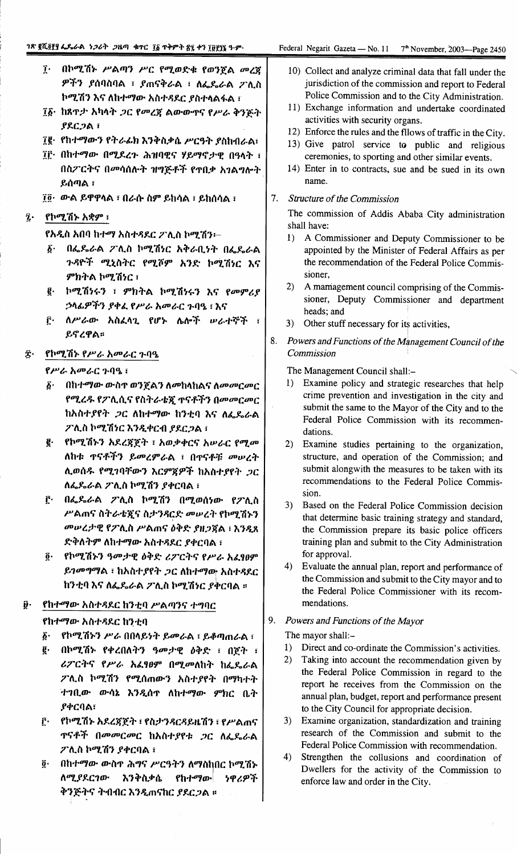- ፲ በኮሚሽኑ ሥልጣን ሥር የሚወድቁ የወንጀል መረጀ ዎችን ያሰባስባል ፣ ያጠናቅራል ፣ ለፌዴራል ፖሊስ ኮሚሽን እና ለከተማው አስተዳደር ያስተላልፋል ፣
- ፲፩· ከጸዋታ አካላት ጋር የመረጀ ልውውጥና የሥራ ቅንጅት  $PACJAI$
- 70 የከተማውን የትራፊክ እንቅስቃሴ ሥርዓት ያስከብራል፣
- ፲፫· በከተማው በሚደረጉ ሕዝባዊና ሃይማኖታዊ በዓላት ፣ በስፖርትና በመሳሰሉት ዝግጅቶች የጥበቃ አገልግሎት ይሰጣል ፣
- ፲፬· ውል ይዋዋላል ፣ በራሱ ስም ይከሳል ፣ ይከሰሳል ፣
- $\vec{z}$ . የኮሚሽኑ አቋም ፣

የአዲስ አበባ ከተማ አስተዳደር ፖሊስ ኮሚሽን፡–

- በፌዴራል ፖሊስ ኮሚሽነር አቅራቢነት በፌዴራል  $\boldsymbol{\delta}$ . ጉዳዮች ሚኒስትር የሚሾም አንድ ኮሚሽነር እና ምክትል ኮሚሽነር ፡
- ፪· ኮሚሽነሩን ፣ ምክትል ኮሚሽነሩን እና የመምሪያ ኃላፊዎችን ያቀፈ የሥራ አመራር ጉባዔ ፣ እና
- ለሥራው አስፈላጊ የሆኑ ሌሎች ሠራተኞች ፣  $\mathbf{r}$ . ይኖረዋል።

#### $\hat{\mathbf{r}}$ . የኮሚሽኑ የሥራ አመራር ጉባዔ

#### የሥራ አመራር ጉባዔ ፣

- δ· በከተማው ውስጥ ወንጀልን ለመከላከልና ለመመርመር የሚረዱ የፖሊሲና የስትራቴጂ ጥናቶችን በመመርመር ከአስተያየት ጋር ለከተማው ከንቲባ እና ለፌዴራል ፖሊስ ኮሚሽነር እንዲቀርብ ያደርጋል ፣
- ፪· የኮሚሽኑን አደረጃጀት ፣ አወቃቀርና አሥራር የሚመ ለከቱ ጥናቶችን ይመረምራል ፣ በጥናቶቹ መሠረት ሊወሰዱ የሚገባቸውን እርምጃዎች ከአስተያየት ጋር ለፌዴራል ፖሊስ ኮሚሽን ያቀርባል ፣
- ፫· በፌዴራል ፖሊስ ኮሚሽን በሚወሰነው የፖሊስ ሥልጠና ስትራቴጂና ስታንጻርድ መሠረት የኮሚሽኑን መሠረታዊ የፖሊስ ሥልጠና ዕቅድ ያዘጋጀል ፣ እንዲጸ ድቅለትም ለከተማው አስተዳደር ያቀርባል ፣
- ፬· የኮሚሽኑን ዓመታዊ ዕቅድ ሪፖርትና የሥራ አፈፃፀም ይገመግማል ፣ ከአስተያየት ጋር ለከተማው አስተዳደር ከንቲባ እና ለፌዴራል ፖሊስ ኮሚሽነር ያቀርባል ።

#### የከተማው አስተዳደር ከንቲባ ሥልጣንና ተግባር  $\ddot{\boldsymbol{\theta}}$ .

#### የከተማው አስተዳደር ከንቲባ

- ፩· የኮሚሽኑን ሥራ በበላይነት ይመራል ፣ ይቆጣጠራል ፣
- በኮሚሽኑ የቀረበለትን ዓመታዊ ዕቅድ ፣ በጀት ፣ ą. ሪፖርትና የሥራ አፌፃፀም በሚመለከት ከፌዴራል ፖሊስ ኮሚሽን የሚሰጠውን አስተያየት በማካተት ተገቢው ውሳኔ እንዲሰዋ ለከተማው ምክር ቤት ያቀርባል፣
- የኮሚሽኑ አደረጃጀት ፣ የስታንዳርዳይዜሽን ፣ የሥልጠና  $\mathbf{r}$ . ዋናቶች በመመርመር ከአስተያየቱ *ጋ*ር ለፌዴራል ፖሊስ ኮሚሽን ያቀርባል ፣
- በከተማው ውስኖ ሕግና ሥርዓትን ለማስከበር ኮሚሽኑ ö. ለሚያደርገው እንቅስቃሴ የከተማው **ነዋሪዎች** ቅንጅትና ትብብር እንዲጠናከር ያደርጋል ፡፡
- 10) Collect and analyze criminal data that fall under the jurisdiction of the commission and report to Federal Police Commission and to the City Administration.
- 11) Exchange information and undertake coordinated activities with security organs.
- 12) Enforce the rules and the filows of traffic in the City.
- 13) Give patrol service to public and religious ceremonies, to sporting and other similar events.
- 14) Enter in to contracts, sue and be sued in its own name
- 7. Structure of the Commission

The commission of Addis Ababa City administration shall have:

- 1) A Commissioner and Deputy Commissioner to be appointed by the Minister of Federal Affairs as per the recommendation of the Federal Police Commissioner.
- $(2)$ A mamagement council comprising of the Commissioner, Deputy Commissioner and department heads; and
- 3) Other stuff necessary for its activities,
- 8. Powers and Functions of the Management Council of the Commission

The Management Council shall:-

- 1) Examine policy and strategic researches that help crime prevention and investigation in the city and submit the same to the Mayor of the City and to the Federal Police Commission with its recommendations.
- $(2)$ Examine studies pertaining to the organization, structure, and operation of the Commission; and submit alongwith the measures to be taken with its recommendations to the Federal Police Commission.
- 3) Based on the Federal Police Commission decision that determine basic training strategy and standard, the Commission prepare its basic police officers training plan and submit to the City Administration for approval.
- $4)$ Evaluate the annual plan, report and performance of the Commission and submit to the City mayor and to the Federal Police Commissioner with its recommendations.

## 9. Powers and Functions of the Mayor

The mayor shall:-

- 1) Direct and co-ordinate the Commission's activities.
- 2) Taking into account the recommendation given by the Federal Police Commission in regard to the report he receives from the Commission on the annual plan, budget, report and performance present to the City Council for appropriate decision.
- Examine organization, standardization and training  $3)$ research of the Commission and submit to the Federal Police Commission with recommendation.
- 4) Strengthen the collusions and coordination of Dwellers for the activity of the Commission to enforce law and order in the City.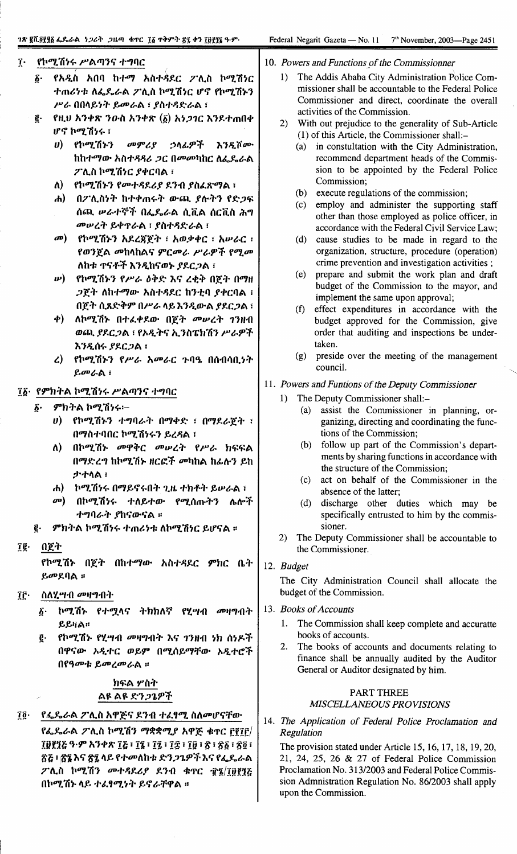#### $\mathbf{r}$ . የኮሚሽነሩ ሥልጣንና ተግባር

- የአዲስ አበባ ከተማ አስተዳደር ፖሊስ ኮሚሽነር б. ተጠሪነቱ ለፌዴራል ፖሊስ ኮሚሽነር ሆኖ የኮሚሽኑን ሥራ በበላይነት ይመራል ፣ ያስተዳድራል ፣
- ą. የዚህ አንቀጽ ንውስ አንቀጽ (፩) አነ*ጋገ*ር እንደተጠበቀ ሆኖ ኮሚሽነሩ ፣
	- ሀ) የኮሚሽኑን መምሪያ ኃላፊዎች እንዲሾሙ ከከተማው አስተዳዳሪ *ጋ*ር በመመካከር ለፌዴራል ፖሊስ ኮሚሽነር ያቀርባል ፣
	- ለ) የኮሚሽኑን የመተዳደሪያ ደንብ ያስፈጽማል ፣
	- ሐ) በፖሊስነት ከተቀጠሩት ውጪ ያሉትን የድጋፍ ሰጪ ሥራተኞች በፌዴራል ሲቪል ሰርቪስ ሕግ መሥረት ይቀዋራል ፡ ያስተዳድራል ፡
	- መ) የኮሚሽኑን አደረጀጀት ፣ አወቃቀር ፣ አሠራር ፣ የወንጀል መከላከልና ምርመራ ሥራዎች የሚመ ለከቱ ዋናቶች እንዲከናወኑ ያደርጋል ፣
	- *w***)** የኮሚሽኑን የሥራ ዕቅድ እና ረቂቅ በጀት በማዘ *ጋ*ጀት ለከተማው አስተዳደር ከንቲባ ያቀርባል ፣ በጀት ሲጸድቅም በሥራ ላይ እንዲውል ያደርጋል ፣
	- ቀ) ለኮሚሽኑ በተፈቀደው በጀት መሥረት ገንዘብ ወጪ ያደርጋል ፣ የአዲትና ኢንስፔክሽን ሥራዎች እንዲሰሩ ያደርጋል ፣
	- የኮሚሽኑን የሥራ አመራር ጉባዔ በሰብሳቢነት  $\mathcal{L}$ ይመራል ፣

## ፲፩· የምክትል ኮሚሽነሩ ሥልጣንና ተግባር

- ምክትል ኮሚሽነሩ፡- $\delta$ .
	- $\boldsymbol{v}$ ) የኮሚሽኑን ተግባራት በማቀድ ፣ በማዶራጀት ፣ በማስተባበር ኮሚሽነሩን ይረዳል ፣
	- በኮሚሽኑ መዋቅር መሠረት የሥራ ክፍፍል ለ) -በማድረግ ከኮሚሽኑ ዘርፎች መካከል ከፊሉን ይከ ታተላል ፣
	- ሐ) ኮሚሽነሩ በማይኖሩበት ጊዜ ተክቶት ይሥራል ፣
	- *መ*) በኮሚሽነሩ ተለይተው የሚሰጡትን ሌሎች ተግባራት ያከናውናል ።
- ምክትል ኮሚሽነሩ ተጠሪነቱ ለኮሚሽነር ይሆናል ። ē.

#### ïĝ∙ በጀት

የኮሚሽኑ በጀት በከተማው አስተዳደር ምክር ቤት ይመደባል ።

#### ÎĒ∙ ስለሂ*ሣብ መዛግብት*

- ፩· ኮሚሽኑ የተሟላና ትክክለኛ የሂሣብ መዛግብት ይይዛል።
- የኮሚሽኑ የሂሣብ *መ*ዛግብት እና ገንዘብ ነክ ሰነዶች g. በዋናው አዲተር ወይም በሚሰይማቸው አዲተሮች በየዓመቱ ይመረመራል ።

# ክፍል ሦስት ልዩ ልዩ ድን*ጋጌዎች*

#### የፌጼራል ፖሊስ አዋጅና ደንብ ተፈፃሚ ስለመሆናቸው Ţĝ∙

የፌዴራል ፖሊስ ኮሚሽን ማቋቋሚያ አዋጅ ቁዋር ፫፻፲፫/ ፲፱፻፶፩ ዓ·ም አንቀጽ ፲፭ ፣ ፲፯ ፣ ፲፭ ፣ ፲፰ ፣ ፲፱ ፣ ጽ ፣ ጽ፩ ፣ ጽ፬ ፣ <u>ጽሯ ፣ ጽ፯ እና ጽ፯ ላይ የተመለከቱ ድንጋጌዎች እና የፌ</u>ዴራል ፖሊስ ኮሚሽን መተዳደሪያ ደንብ ቁዋር ፹፮/፲፱፻፺፩ በኮሚሽኑ ላይ ተፈፃሚነት ይኖራቸዋል ።

#### 10. Powers and Functions of the Commissionner

- 1) The Addis Ababa City Administration Police Commissioner shall be accountable to the Federal Police Commissioner and direct, coordinate the overall activities of the Commission.
- 2) With out prejudice to the generality of Sub-Article (1) of this Article, the Commissioner shall:-
	- (a) in constultation with the City Administration, recommend department heads of the Commission to be appointed by the Federal Police Commission;
	- (b) execute regulations of the commission;
	- $(c)$ employ and administer the supporting staff other than those employed as police officer, in accordance with the Federal Civil Service Law;
	- $(d)$ cause studies to be made in regard to the organization, structure, procedure (operation) crime prevention and investigation activities;
	- $(e)$ prepare and submit the work plan and draft budget of the Commission to the mayor, and implement the same upon approval;
	- $(f)$ effect expenditures in accordance with the budget approved for the Commission, give order that auditing and inspections be undertaken.
	- preside over the meeting of the management  $(g)$ council.
- 11. Powers and Funtions of the Deputy Commissioner
	- 1) The Deputy Commissioner shall:
		- assist the Commissioner in planning, or- $(a)$ ganizing, directing and coordinating the functions of the Commission;
		- follow up part of the Commission's depart- $(b)$ ments by sharing functions in accordance with the structure of the Commission;
		- act on behalf of the Commissioner in the  $(c)$ absence of the latter;
		- $(d)$ discharge other duties which may be specifically entrusted to him by the commissioner.
	- $(2)$ The Deputy Commissioner shall be accountable to the Commissioner.

## 12. Budget

The City Administration Council shall allocate the budget of the Commission.

## 13. Books of Accounts

- 1. The Commission shall keep complete and accuratte books of accounts.
- $\mathcal{P}$ The books of accounts and documents relating to finance shall be annually audited by the Auditor General or Auditor designated by him.

#### **PART THREE** MISCELLANEOUS PROVISIONS

14. The Application of Federal Police Proclamation and Regulation

The provision stated under Article 15, 16, 17, 18, 19, 20, 21, 24, 25, 26 & 27 of Federal Police Commission Proclamation No. 313/2003 and Federal Police Commission Admnistration Regulation No. 86/2003 shall apply upon the Commission.